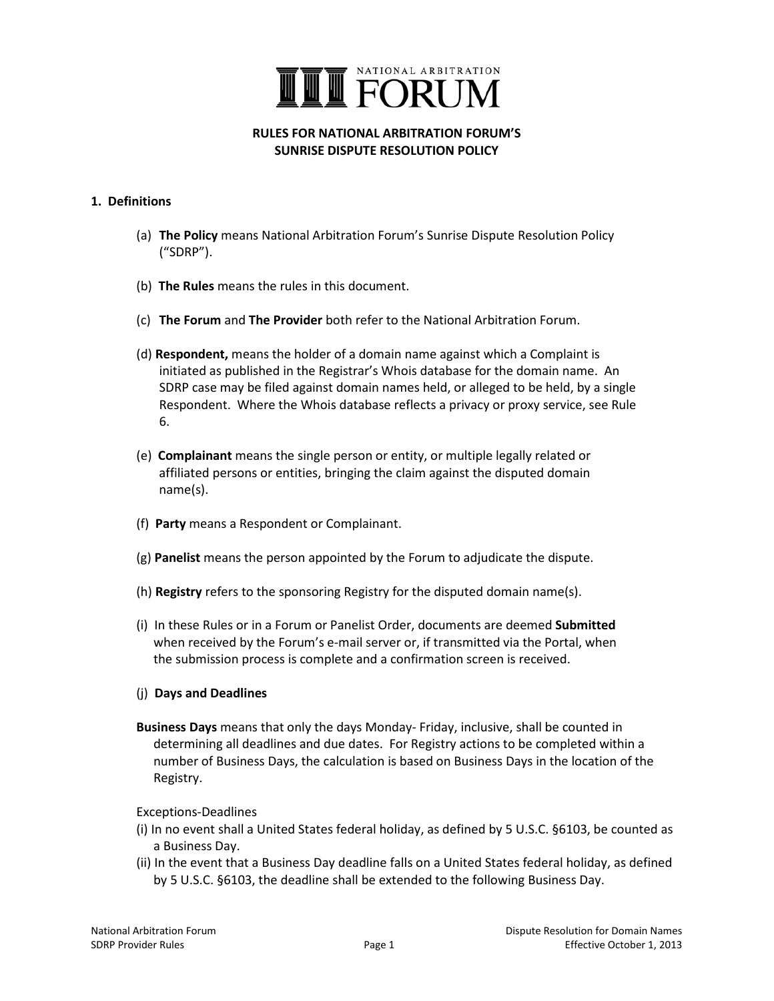

### **RULES FOR NATIONAL ARBITRATION FORUM'S SUNRISE DISPUTE RESOLUTION POLICY**

### **1. Definitions**

- (a) **The Policy** means National Arbitration Forum's Sunrise Dispute Resolution Policy ("SDRP").
- (b) **The Rules** means the rules in this document.
- (c) **The Forum** and **The Provider** both refer to the National Arbitration Forum.
- (d) **Respondent,** means the holder of a domain name against which a Complaint is initiated as published in the Registrar's Whois database for the domain name. An SDRP case may be filed against domain names held, or alleged to be held, by a single Respondent. Where the Whois database reflects a privacy or proxy service, see Rule 6.
- (e) **Complainant** means the single person or entity, or multiple legally related or affiliated persons or entities, bringing the claim against the disputed domain name(s).
- (f) **Party** means a Respondent or Complainant.
- (g) **Panelist** means the person appointed by the Forum to adjudicate the dispute.
- (h) **Registry** refers to the sponsoring Registry for the disputed domain name(s).
- (i) In these Rules or in a Forum or Panelist Order, documents are deemed **Submitted** when received by the Forum's e-mail server or, if transmitted via the Portal, when the submission process is complete and a confirmation screen is received.

### (j) **Days and Deadlines**

**Business Days** means that only the days Monday- Friday, inclusive, shall be counted in determining all deadlines and due dates. For Registry actions to be completed within a number of Business Days, the calculation is based on Business Days in the location of the Registry.

### Exceptions-Deadlines

- (i) In no event shall a United States federal holiday, as defined by 5 U.S.C. §6103, be counted as a Business Day.
- (ii) In the event that a Business Day deadline falls on a United States federal holiday, as defined by 5 U.S.C. §6103, the deadline shall be extended to the following Business Day.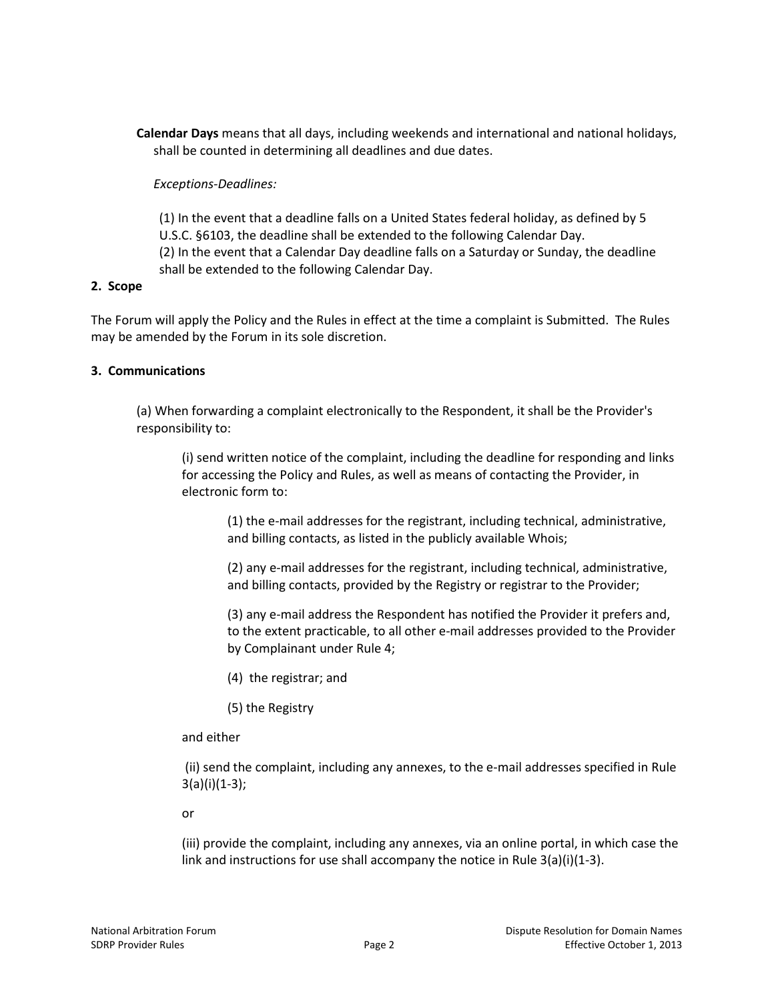**Calendar Days** means that all days, including weekends and international and national holidays, shall be counted in determining all deadlines and due dates.

### *Exceptions-Deadlines:*

(1) In the event that a deadline falls on a United States federal holiday, as defined by 5 U.S.C. §6103, the deadline shall be extended to the following Calendar Day. (2) In the event that a Calendar Day deadline falls on a Saturday or Sunday, the deadline shall be extended to the following Calendar Day.

### **2. Scope**

The Forum will apply the Policy and the Rules in effect at the time a complaint is Submitted. The Rules may be amended by the Forum in its sole discretion.

## **3. Communications**

(a) When forwarding a complaint electronically to the Respondent, it shall be the Provider's responsibility to:

(i) send written notice of the complaint, including the deadline for responding and links for accessing the Policy and Rules, as well as means of contacting the Provider, in electronic form to:

(1) the e-mail addresses for the registrant, including technical, administrative, and billing contacts, as listed in the publicly available Whois;

(2) any e-mail addresses for the registrant, including technical, administrative, and billing contacts, provided by the Registry or registrar to the Provider;

(3) any e-mail address the Respondent has notified the Provider it prefers and, to the extent practicable, to all other e-mail addresses provided to the Provider by Complainant under Rule 4;

- (4) the registrar; and
- (5) the Registry

#### and either

(ii) send the complaint, including any annexes, to the e-mail addresses specified in Rule 3(a)(i)(1-3);

or

(iii) provide the complaint, including any annexes, via an online portal, in which case the link and instructions for use shall accompany the notice in Rule 3(a)(i)(1-3).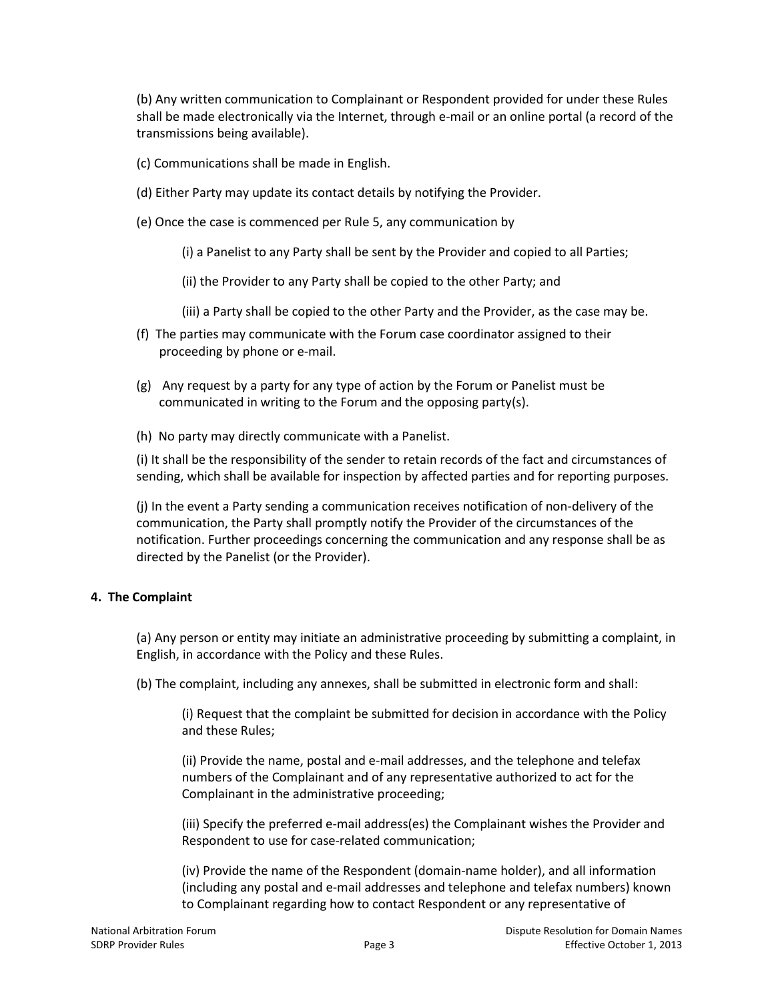(b) Any written communication to Complainant or Respondent provided for under these Rules shall be made electronically via the Internet, through e-mail or an online portal (a record of the transmissions being available).

- (c) Communications shall be made in English.
- (d) Either Party may update its contact details by notifying the Provider.
- (e) Once the case is commenced per Rule 5, any communication by
	- (i) a Panelist to any Party shall be sent by the Provider and copied to all Parties;
	- (ii) the Provider to any Party shall be copied to the other Party; and
	- (iii) a Party shall be copied to the other Party and the Provider, as the case may be.
- (f) The parties may communicate with the Forum case coordinator assigned to their proceeding by phone or e-mail.
- (g) Any request by a party for any type of action by the Forum or Panelist must be communicated in writing to the Forum and the opposing party(s).
- (h) No party may directly communicate with a Panelist.

(i) It shall be the responsibility of the sender to retain records of the fact and circumstances of sending, which shall be available for inspection by affected parties and for reporting purposes.

(j) In the event a Party sending a communication receives notification of non-delivery of the communication, the Party shall promptly notify the Provider of the circumstances of the notification. Further proceedings concerning the communication and any response shall be as directed by the Panelist (or the Provider).

## **4. The Complaint**

(a) Any person or entity may initiate an administrative proceeding by submitting a complaint, in English, in accordance with the Policy and these Rules.

(b) The complaint, including any annexes, shall be submitted in electronic form and shall:

(i) Request that the complaint be submitted for decision in accordance with the Policy and these Rules;

(ii) Provide the name, postal and e-mail addresses, and the telephone and telefax numbers of the Complainant and of any representative authorized to act for the Complainant in the administrative proceeding;

(iii) Specify the preferred e-mail address(es) the Complainant wishes the Provider and Respondent to use for case-related communication;

(iv) Provide the name of the Respondent (domain-name holder), and all information (including any postal and e-mail addresses and telephone and telefax numbers) known to Complainant regarding how to contact Respondent or any representative of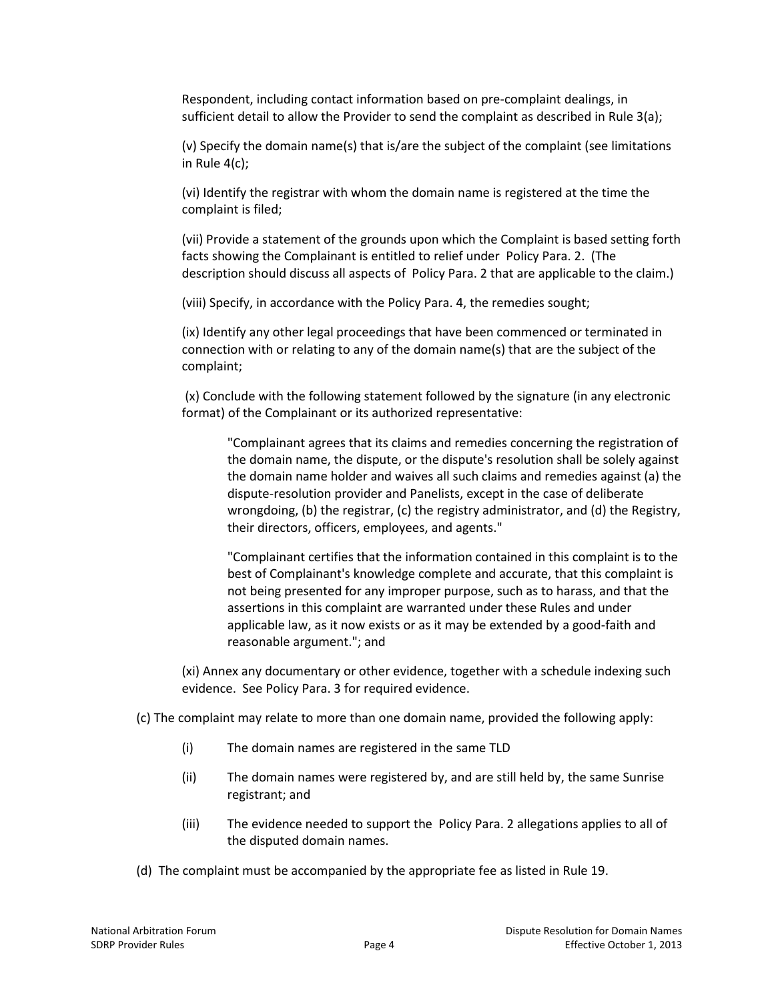Respondent, including contact information based on pre-complaint dealings, in sufficient detail to allow the Provider to send the complaint as described in Rule 3(a);

(v) Specify the domain name(s) that is/are the subject of the complaint (see limitations in Rule 4(c);

(vi) Identify the registrar with whom the domain name is registered at the time the complaint is filed;

(vii) Provide a statement of the grounds upon which the Complaint is based setting forth facts showing the Complainant is entitled to relief under Policy Para. 2. (The description should discuss all aspects of Policy Para. 2 that are applicable to the claim.)

(viii) Specify, in accordance with the Policy Para. 4, the remedies sought;

(ix) Identify any other legal proceedings that have been commenced or terminated in connection with or relating to any of the domain name(s) that are the subject of the complaint;

(x) Conclude with the following statement followed by the signature (in any electronic format) of the Complainant or its authorized representative:

"Complainant agrees that its claims and remedies concerning the registration of the domain name, the dispute, or the dispute's resolution shall be solely against the domain name holder and waives all such claims and remedies against (a) the dispute-resolution provider and Panelists, except in the case of deliberate wrongdoing, (b) the registrar, (c) the registry administrator, and (d) the Registry, their directors, officers, employees, and agents."

"Complainant certifies that the information contained in this complaint is to the best of Complainant's knowledge complete and accurate, that this complaint is not being presented for any improper purpose, such as to harass, and that the assertions in this complaint are warranted under these Rules and under applicable law, as it now exists or as it may be extended by a good-faith and reasonable argument."; and

(xi) Annex any documentary or other evidence, together with a schedule indexing such evidence. See Policy Para. 3 for required evidence.

(c) The complaint may relate to more than one domain name, provided the following apply:

- (i) The domain names are registered in the same TLD
- (ii) The domain names were registered by, and are still held by, the same Sunrise registrant; and
- (iii) The evidence needed to support the Policy Para. 2 allegations applies to all of the disputed domain names.
- (d) The complaint must be accompanied by the appropriate fee as listed in Rule 19.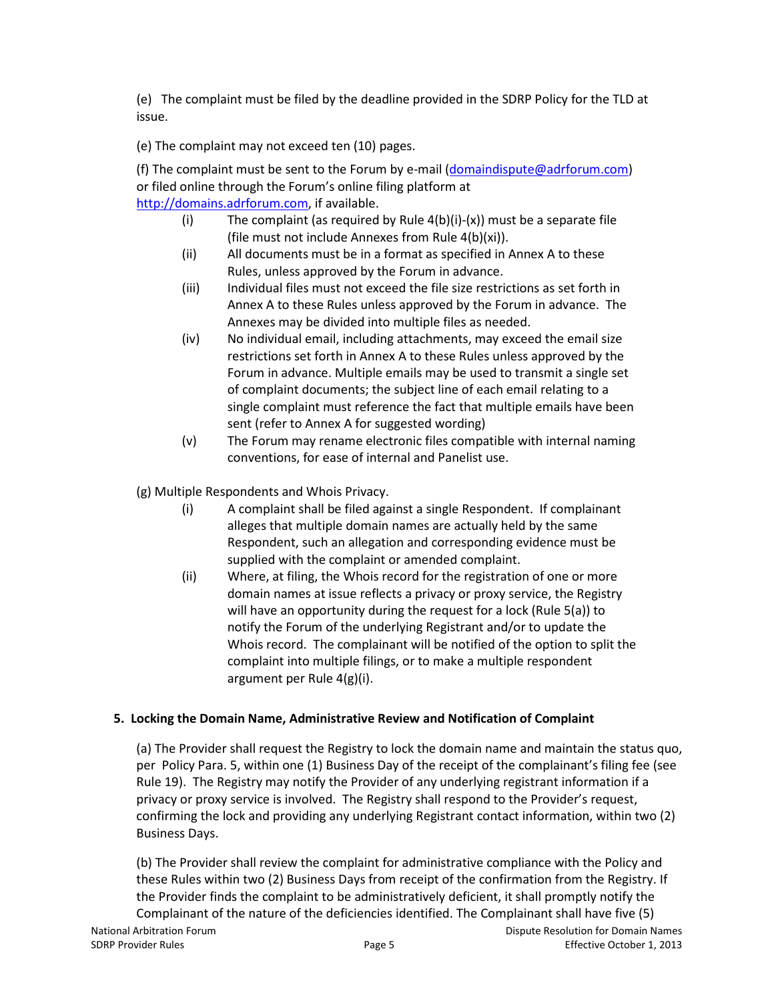(e) The complaint must be filed by the deadline provided in the SDRP Policy for the TLD at issue.

(e) The complaint may not exceed ten (10) pages.

(f) The complaint must be sent to the Forum by e-mail [\(domaindispute@adrforum.com\)](mailto:domaindispute@adrforum.com) or filed online through the Forum's online filing platform at [http://domains.adrforum.com,](http://domains.adrforum.com/) if available.

- (i) The complaint (as required by Rule  $4(b)(i)-(x)$ ) must be a separate file (file must not include Annexes from Rule 4(b)(xi)).
- (ii) All documents must be in a format as specified in Annex A to these Rules, unless approved by the Forum in advance.
- (iii) Individual files must not exceed the file size restrictions as set forth in Annex A to these Rules unless approved by the Forum in advance. The Annexes may be divided into multiple files as needed.
- (iv) No individual email, including attachments, may exceed the email size restrictions set forth in Annex A to these Rules unless approved by the Forum in advance. Multiple emails may be used to transmit a single set of complaint documents; the subject line of each email relating to a single complaint must reference the fact that multiple emails have been sent (refer to Annex A for suggested wording)
- (v) The Forum may rename electronic files compatible with internal naming conventions, for ease of internal and Panelist use.

(g) Multiple Respondents and Whois Privacy.

- (i) A complaint shall be filed against a single Respondent. If complainant alleges that multiple domain names are actually held by the same Respondent, such an allegation and corresponding evidence must be supplied with the complaint or amended complaint.
- (ii) Where, at filing, the Whois record for the registration of one or more domain names at issue reflects a privacy or proxy service, the Registry will have an opportunity during the request for a lock (Rule 5(a)) to notify the Forum of the underlying Registrant and/or to update the Whois record. The complainant will be notified of the option to split the complaint into multiple filings, or to make a multiple respondent argument per Rule 4(g)(i).

## **5. Locking the Domain Name, Administrative Review and Notification of Complaint**

(a) The Provider shall request the Registry to lock the domain name and maintain the status quo, per Policy Para. 5, within one (1) Business Day of the receipt of the complainant's filing fee (see Rule 19). The Registry may notify the Provider of any underlying registrant information if a privacy or proxy service is involved. The Registry shall respond to the Provider's request, confirming the lock and providing any underlying Registrant contact information, within two (2) Business Days.

(b) The Provider shall review the complaint for administrative compliance with the Policy and these Rules within two (2) Business Days from receipt of the confirmation from the Registry. If the Provider finds the complaint to be administratively deficient, it shall promptly notify the Complainant of the nature of the deficiencies identified. The Complainant shall have five (5)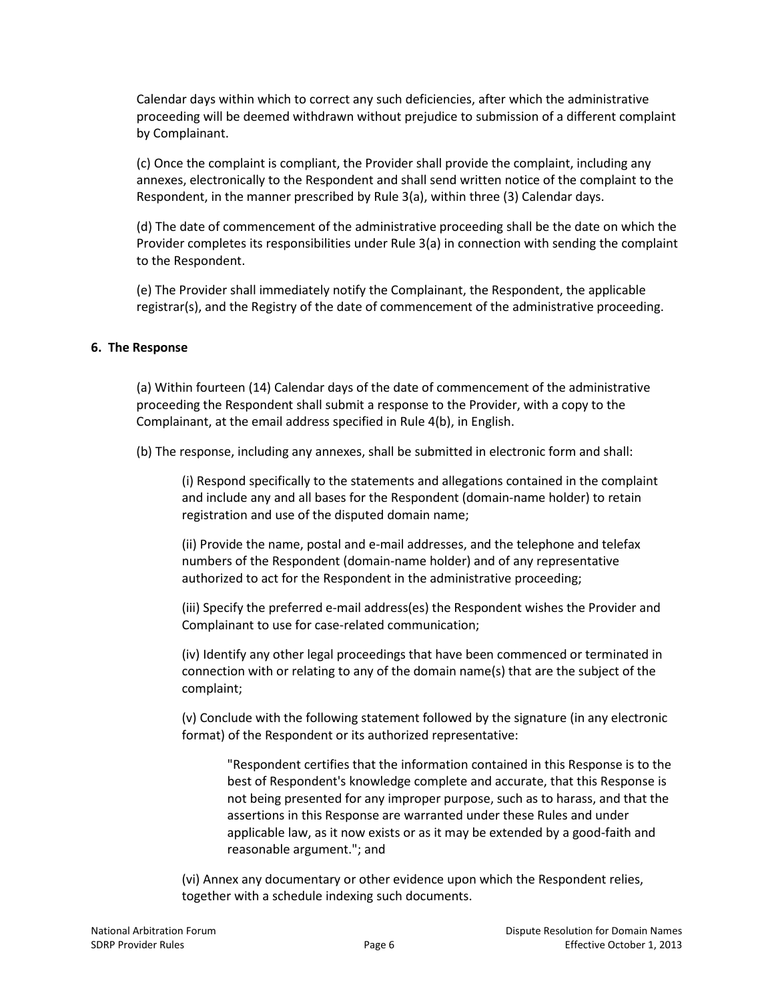Calendar days within which to correct any such deficiencies, after which the administrative proceeding will be deemed withdrawn without prejudice to submission of a different complaint by Complainant.

(c) Once the complaint is compliant, the Provider shall provide the complaint, including any annexes, electronically to the Respondent and shall send written notice of the complaint to the Respondent, in the manner prescribed by Rule 3(a), within three (3) Calendar days.

(d) The date of commencement of the administrative proceeding shall be the date on which the Provider completes its responsibilities under Rule 3(a) in connection with sending the complaint to the Respondent.

(e) The Provider shall immediately notify the Complainant, the Respondent, the applicable registrar(s), and the Registry of the date of commencement of the administrative proceeding.

### **6. The Response**

(a) Within fourteen (14) Calendar days of the date of commencement of the administrative proceeding the Respondent shall submit a response to the Provider, with a copy to the Complainant, at the email address specified in Rule 4(b), in English.

(b) The response, including any annexes, shall be submitted in electronic form and shall:

(i) Respond specifically to the statements and allegations contained in the complaint and include any and all bases for the Respondent (domain-name holder) to retain registration and use of the disputed domain name;

(ii) Provide the name, postal and e-mail addresses, and the telephone and telefax numbers of the Respondent (domain-name holder) and of any representative authorized to act for the Respondent in the administrative proceeding;

(iii) Specify the preferred e-mail address(es) the Respondent wishes the Provider and Complainant to use for case-related communication;

(iv) Identify any other legal proceedings that have been commenced or terminated in connection with or relating to any of the domain name(s) that are the subject of the complaint;

(v) Conclude with the following statement followed by the signature (in any electronic format) of the Respondent or its authorized representative:

"Respondent certifies that the information contained in this Response is to the best of Respondent's knowledge complete and accurate, that this Response is not being presented for any improper purpose, such as to harass, and that the assertions in this Response are warranted under these Rules and under applicable law, as it now exists or as it may be extended by a good-faith and reasonable argument."; and

(vi) Annex any documentary or other evidence upon which the Respondent relies, together with a schedule indexing such documents.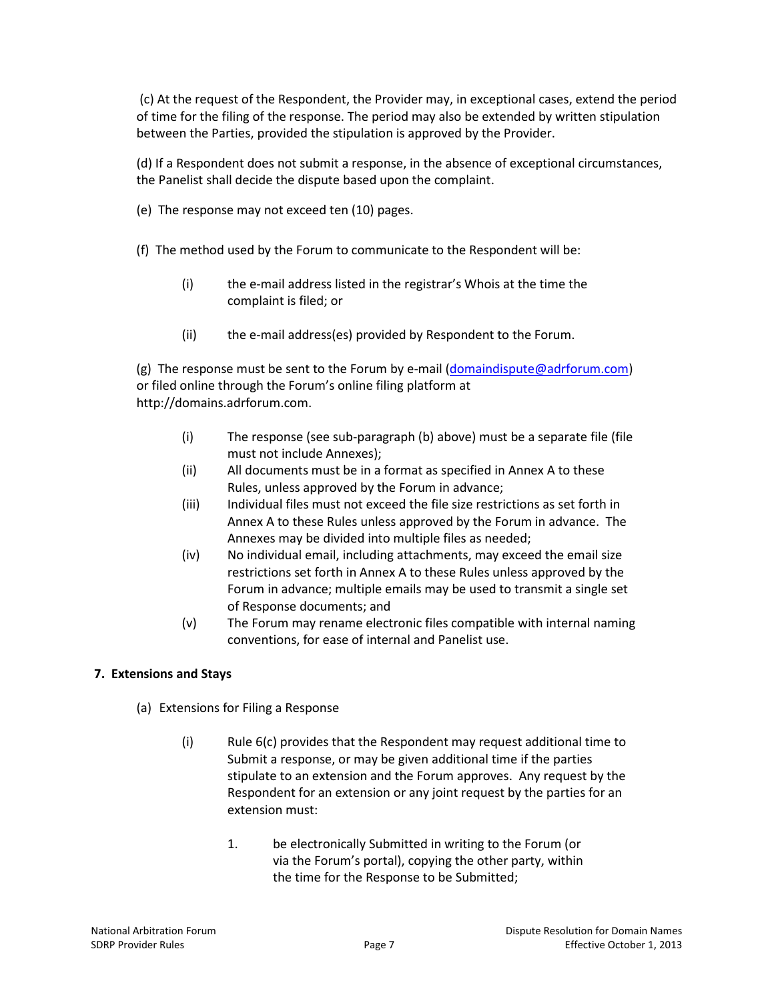(c) At the request of the Respondent, the Provider may, in exceptional cases, extend the period of time for the filing of the response. The period may also be extended by written stipulation between the Parties, provided the stipulation is approved by the Provider.

(d) If a Respondent does not submit a response, in the absence of exceptional circumstances, the Panelist shall decide the dispute based upon the complaint.

- (e) The response may not exceed ten (10) pages.
- (f) The method used by the Forum to communicate to the Respondent will be:
	- (i) the e-mail address listed in the registrar's Whois at the time the complaint is filed; or
	- (ii) the e-mail address(es) provided by Respondent to the Forum.

(g) The response must be sent to the Forum by e-mail [\(domaindispute@adrforum.com\)](mailto:domaindispute@adrforum.com) or filed online through the Forum's online filing platform at http://domains.adrforum.com.

- (i) The response (see sub-paragraph (b) above) must be a separate file (file must not include Annexes);
- (ii) All documents must be in a format as specified in Annex A to these Rules, unless approved by the Forum in advance;
- (iii) Individual files must not exceed the file size restrictions as set forth in Annex A to these Rules unless approved by the Forum in advance. The Annexes may be divided into multiple files as needed;
- (iv) No individual email, including attachments, may exceed the email size restrictions set forth in Annex A to these Rules unless approved by the Forum in advance; multiple emails may be used to transmit a single set of Response documents; and
- (v) The Forum may rename electronic files compatible with internal naming conventions, for ease of internal and Panelist use.

## **7. Extensions and Stays**

- (a) Extensions for Filing a Response
	- (i) Rule 6(c) provides that the Respondent may request additional time to Submit a response, or may be given additional time if the parties stipulate to an extension and the Forum approves. Any request by the Respondent for an extension or any joint request by the parties for an extension must:
		- 1. be electronically Submitted in writing to the Forum (or via the Forum's portal), copying the other party, within the time for the Response to be Submitted;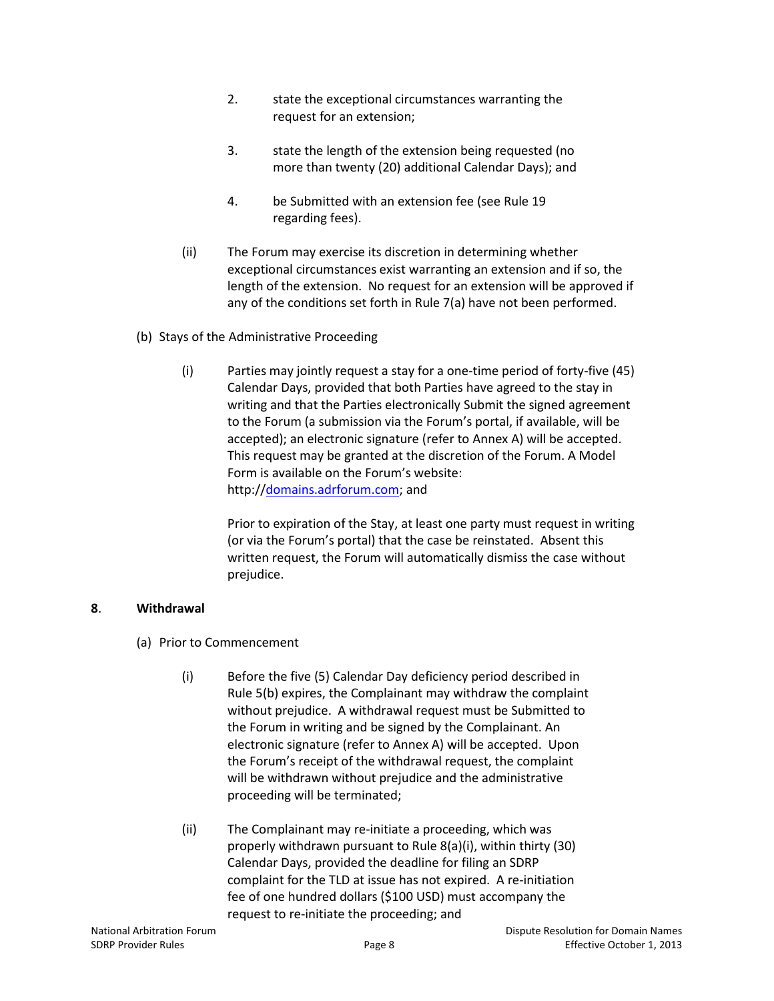- 2. state the exceptional circumstances warranting the request for an extension;
- 3. state the length of the extension being requested (no more than twenty (20) additional Calendar Days); and
- 4. be Submitted with an extension fee (see Rule 19 regarding fees).
- (ii) The Forum may exercise its discretion in determining whether exceptional circumstances exist warranting an extension and if so, the length of the extension. No request for an extension will be approved if any of the conditions set forth in Rule 7(a) have not been performed.
- (b) Stays of the Administrative Proceeding
	- (i) Parties may jointly request a stay for a one-time period of forty-five (45) Calendar Days, provided that both Parties have agreed to the stay in writing and that the Parties electronically Submit the signed agreement to the Forum (a submission via the Forum's portal, if available, will be accepted); an electronic signature (refer to Annex A) will be accepted. This request may be granted at the discretion of the Forum. A Model Form is available on the Forum's website: http:/[/domains.adrforum.com;](http://domains.adrforum.com/) and

Prior to expiration of the Stay, at least one party must request in writing (or via the Forum's portal) that the case be reinstated. Absent this written request, the Forum will automatically dismiss the case without prejudice.

## **8**. **Withdrawal**

- (a) Prior to Commencement
	- (i) Before the five (5) Calendar Day deficiency period described in Rule 5(b) expires, the Complainant may withdraw the complaint without prejudice. A withdrawal request must be Submitted to the Forum in writing and be signed by the Complainant. An electronic signature (refer to Annex A) will be accepted. Upon the Forum's receipt of the withdrawal request, the complaint will be withdrawn without prejudice and the administrative proceeding will be terminated;
	- (ii) The Complainant may re-initiate a proceeding, which was properly withdrawn pursuant to Rule 8(a)(i), within thirty (30) Calendar Days, provided the deadline for filing an SDRP complaint for the TLD at issue has not expired. A re-initiation fee of one hundred dollars (\$100 USD) must accompany the request to re-initiate the proceeding; and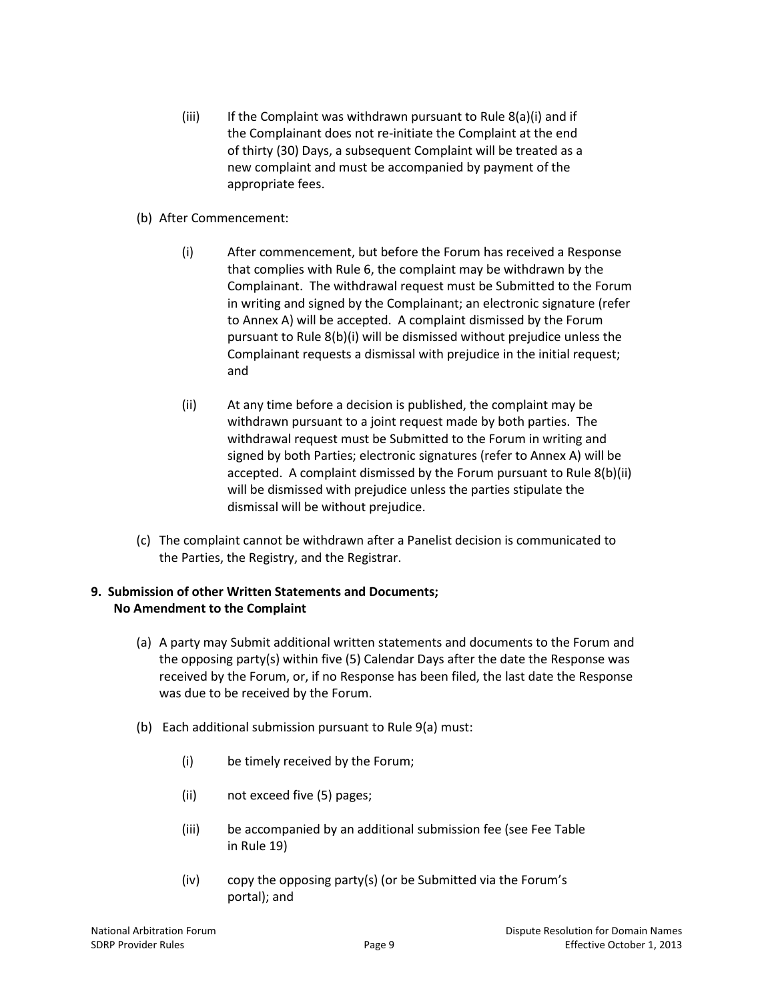- (iii) If the Complaint was withdrawn pursuant to Rule  $8(a)(i)$  and if the Complainant does not re-initiate the Complaint at the end of thirty (30) Days, a subsequent Complaint will be treated as a new complaint and must be accompanied by payment of the appropriate fees.
- (b) After Commencement:
	- (i) After commencement, but before the Forum has received a Response that complies with Rule 6, the complaint may be withdrawn by the Complainant. The withdrawal request must be Submitted to the Forum in writing and signed by the Complainant; an electronic signature (refer to Annex A) will be accepted. A complaint dismissed by the Forum pursuant to Rule 8(b)(i) will be dismissed without prejudice unless the Complainant requests a dismissal with prejudice in the initial request; and
	- (ii) At any time before a decision is published, the complaint may be withdrawn pursuant to a joint request made by both parties. The withdrawal request must be Submitted to the Forum in writing and signed by both Parties; electronic signatures (refer to Annex A) will be accepted. A complaint dismissed by the Forum pursuant to Rule 8(b)(ii) will be dismissed with prejudice unless the parties stipulate the dismissal will be without prejudice.
- (c) The complaint cannot be withdrawn after a Panelist decision is communicated to the Parties, the Registry, and the Registrar.

## **9. Submission of other Written Statements and Documents; No Amendment to the Complaint**

- (a) A party may Submit additional written statements and documents to the Forum and the opposing party(s) within five (5) Calendar Days after the date the Response was received by the Forum, or, if no Response has been filed, the last date the Response was due to be received by the Forum.
- (b) Each additional submission pursuant to Rule 9(a) must:
	- (i) be timely received by the Forum;
	- (ii) not exceed five (5) pages;
	- (iii) be accompanied by an additional submission fee (see Fee Table in Rule 19)
	- (iv) copy the opposing party(s) (or be Submitted via the Forum's portal); and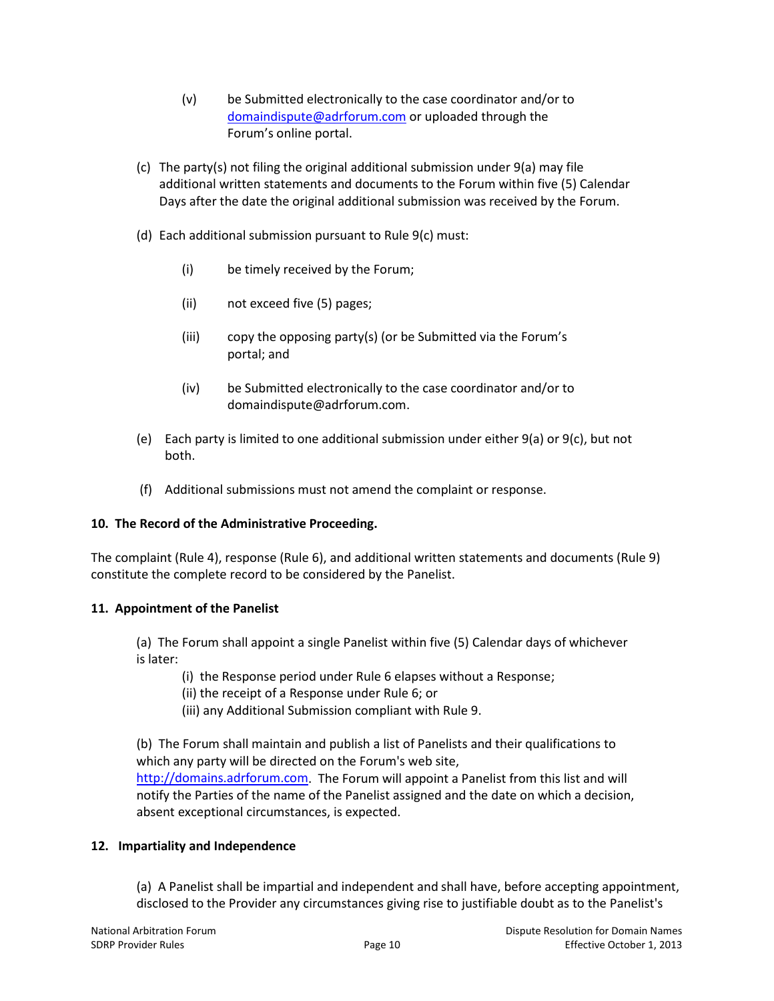- (v) be Submitted electronically to the case coordinator and/or to [domaindispute@adrforum.com](mailto:domaindispute@adrforum.com) or uploaded through the Forum's online portal.
- (c) The party(s) not filing the original additional submission under 9(a) may file additional written statements and documents to the Forum within five (5) Calendar Days after the date the original additional submission was received by the Forum.
- (d) Each additional submission pursuant to Rule 9(c) must:
	- (i) be timely received by the Forum;
	- (ii) not exceed five (5) pages;
	- (iii) copy the opposing party(s) (or be Submitted via the Forum's portal; and
	- (iv) be Submitted electronically to the case coordinator and/or to domaindispute@adrforum.com.
- (e) Each party is limited to one additional submission under either 9(a) or 9(c), but not both.
- (f) Additional submissions must not amend the complaint or response.

### **10. The Record of the Administrative Proceeding.**

The complaint (Rule 4), response (Rule 6), and additional written statements and documents (Rule 9) constitute the complete record to be considered by the Panelist.

### **11. Appointment of the Panelist**

(a) The Forum shall appoint a single Panelist within five (5) Calendar days of whichever is later:

- (i) the Response period under Rule 6 elapses without a Response;
- (ii) the receipt of a Response under Rule 6; or
- (iii) any Additional Submission compliant with Rule 9.

(b) The Forum shall maintain and publish a list of Panelists and their qualifications to which any party will be directed on the Forum's web site, [http://domains.adrforum.com.](http://domains.adrforum.com/) The Forum will appoint a Panelist from this list and will notify the Parties of the name of the Panelist assigned and the date on which a decision, absent exceptional circumstances, is expected.

### **12. Impartiality and Independence**

(a) A Panelist shall be impartial and independent and shall have, before accepting appointment, disclosed to the Provider any circumstances giving rise to justifiable doubt as to the Panelist's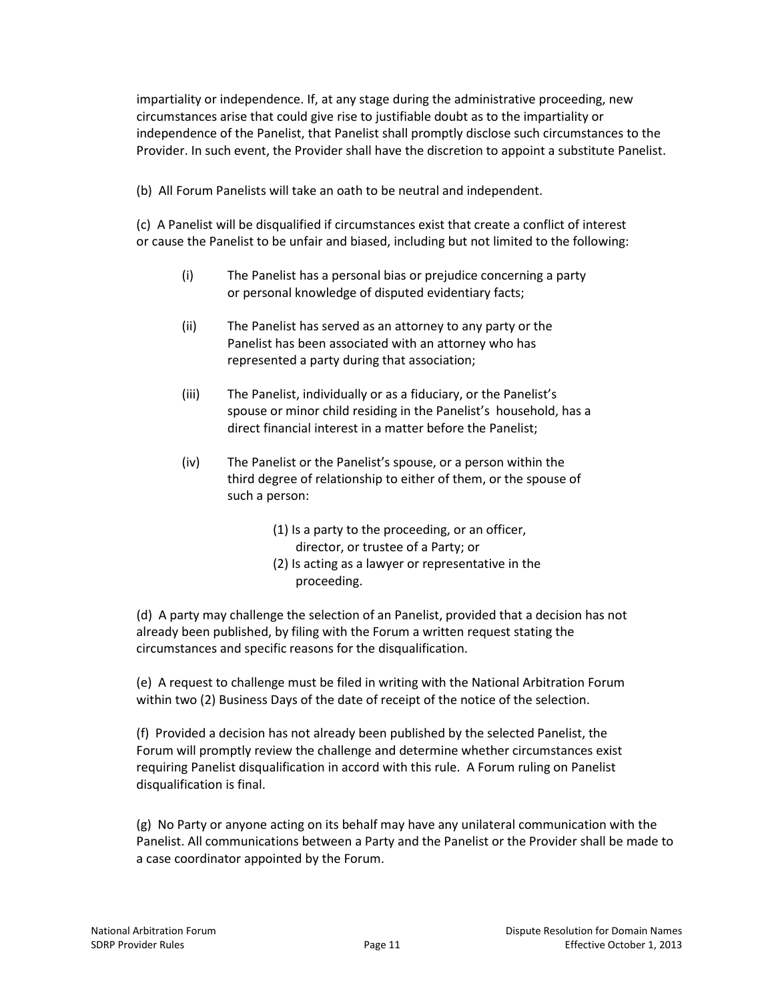impartiality or independence. If, at any stage during the administrative proceeding, new circumstances arise that could give rise to justifiable doubt as to the impartiality or independence of the Panelist, that Panelist shall promptly disclose such circumstances to the Provider. In such event, the Provider shall have the discretion to appoint a substitute Panelist.

(b) All Forum Panelists will take an oath to be neutral and independent.

(c) A Panelist will be disqualified if circumstances exist that create a conflict of interest or cause the Panelist to be unfair and biased, including but not limited to the following:

- (i) The Panelist has a personal bias or prejudice concerning a party or personal knowledge of disputed evidentiary facts;
- (ii) The Panelist has served as an attorney to any party or the Panelist has been associated with an attorney who has represented a party during that association;
- (iii) The Panelist, individually or as a fiduciary, or the Panelist's spouse or minor child residing in the Panelist's household, has a direct financial interest in a matter before the Panelist;
- (iv) The Panelist or the Panelist's spouse, or a person within the third degree of relationship to either of them, or the spouse of such a person:
	- (1) Is a party to the proceeding, or an officer, director, or trustee of a Party; or
	- (2) Is acting as a lawyer or representative in the proceeding.

(d) A party may challenge the selection of an Panelist, provided that a decision has not already been published, by filing with the Forum a written request stating the circumstances and specific reasons for the disqualification.

(e) A request to challenge must be filed in writing with the National Arbitration Forum within two (2) Business Days of the date of receipt of the notice of the selection.

(f) Provided a decision has not already been published by the selected Panelist, the Forum will promptly review the challenge and determine whether circumstances exist requiring Panelist disqualification in accord with this rule. A Forum ruling on Panelist disqualification is final.

(g) No Party or anyone acting on its behalf may have any unilateral communication with the Panelist. All communications between a Party and the Panelist or the Provider shall be made to a case coordinator appointed by the Forum.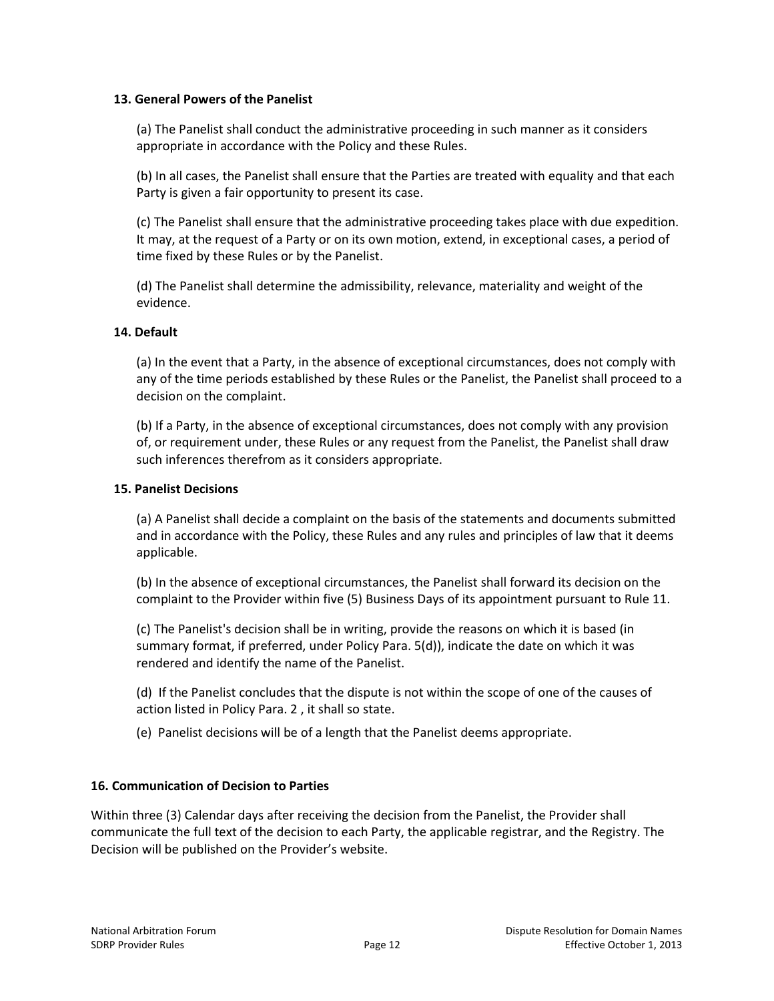## **13. General Powers of the Panelist**

(a) The Panelist shall conduct the administrative proceeding in such manner as it considers appropriate in accordance with the Policy and these Rules.

(b) In all cases, the Panelist shall ensure that the Parties are treated with equality and that each Party is given a fair opportunity to present its case.

(c) The Panelist shall ensure that the administrative proceeding takes place with due expedition. It may, at the request of a Party or on its own motion, extend, in exceptional cases, a period of time fixed by these Rules or by the Panelist.

(d) The Panelist shall determine the admissibility, relevance, materiality and weight of the evidence.

## **14. Default**

(a) In the event that a Party, in the absence of exceptional circumstances, does not comply with any of the time periods established by these Rules or the Panelist, the Panelist shall proceed to a decision on the complaint.

(b) If a Party, in the absence of exceptional circumstances, does not comply with any provision of, or requirement under, these Rules or any request from the Panelist, the Panelist shall draw such inferences therefrom as it considers appropriate.

### **15. Panelist Decisions**

(a) A Panelist shall decide a complaint on the basis of the statements and documents submitted and in accordance with the Policy, these Rules and any rules and principles of law that it deems applicable.

(b) In the absence of exceptional circumstances, the Panelist shall forward its decision on the complaint to the Provider within five (5) Business Days of its appointment pursuant to Rule 11.

(c) The Panelist's decision shall be in writing, provide the reasons on which it is based (in summary format, if preferred, under Policy Para. 5(d)), indicate the date on which it was rendered and identify the name of the Panelist.

(d) If the Panelist concludes that the dispute is not within the scope of one of the causes of action listed in Policy Para. 2 , it shall so state.

(e) Panelist decisions will be of a length that the Panelist deems appropriate.

### **16. Communication of Decision to Parties**

Within three (3) Calendar days after receiving the decision from the Panelist, the Provider shall communicate the full text of the decision to each Party, the applicable registrar, and the Registry. The Decision will be published on the Provider's website.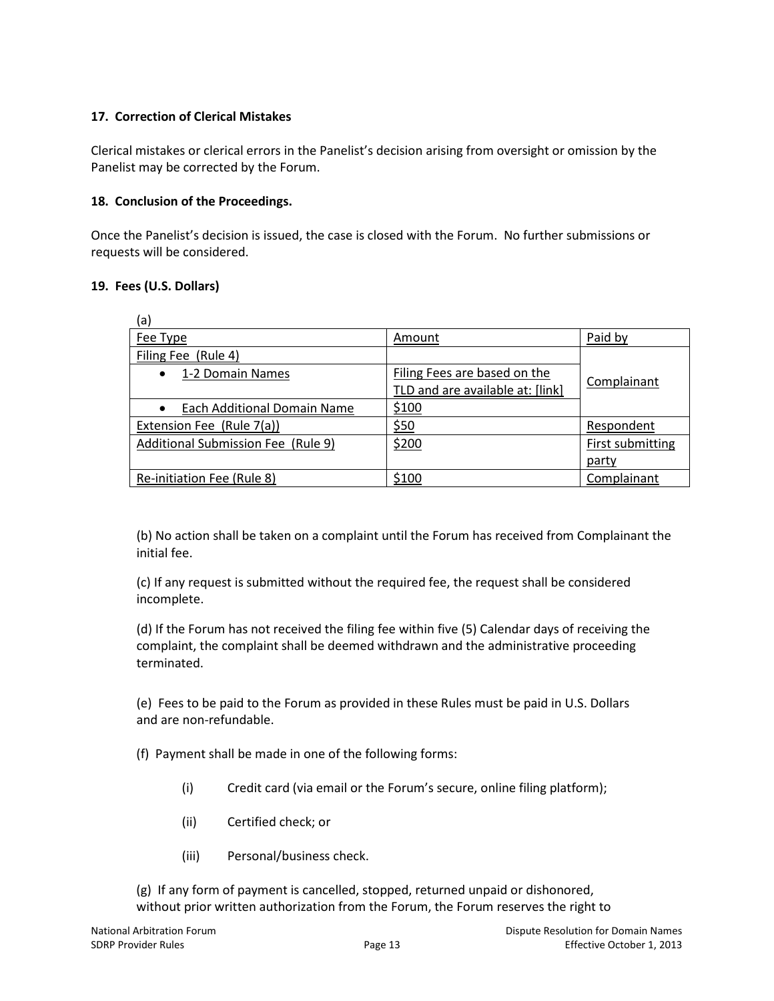# **17. Correction of Clerical Mistakes**

Clerical mistakes or clerical errors in the Panelist's decision arising from oversight or omission by the Panelist may be corrected by the Forum.

## **18. Conclusion of the Proceedings.**

Once the Panelist's decision is issued, the case is closed with the Forum. No further submissions or requests will be considered.

## **19. Fees (U.S. Dollars)**

| (a)                                             |                                  |                  |
|-------------------------------------------------|----------------------------------|------------------|
| Fee Type                                        | Amount                           | Paid by          |
| Filing Fee (Rule 4)                             |                                  |                  |
| 1-2 Domain Names<br>$\bullet$                   | Filing Fees are based on the     |                  |
|                                                 | TLD and are available at: [link] | Complainant      |
| <b>Each Additional Domain Name</b><br>$\bullet$ | \$100                            |                  |
| Extension Fee (Rule 7(a))                       | \$50                             | Respondent       |
| Additional Submission Fee (Rule 9)              | \$200                            | First submitting |
|                                                 |                                  | party            |
| Re-initiation Fee (Rule 8)                      | \$100                            | Complainant      |

(b) No action shall be taken on a complaint until the Forum has received from Complainant the initial fee.

(c) If any request is submitted without the required fee, the request shall be considered incomplete.

(d) If the Forum has not received the filing fee within five (5) Calendar days of receiving the complaint, the complaint shall be deemed withdrawn and the administrative proceeding terminated.

(e) Fees to be paid to the Forum as provided in these Rules must be paid in U.S. Dollars and are non-refundable.

(f) Payment shall be made in one of the following forms:

- (i) Credit card (via email or the Forum's secure, online filing platform);
- (ii) Certified check; or
- (iii) Personal/business check.

(g) If any form of payment is cancelled, stopped, returned unpaid or dishonored, without prior written authorization from the Forum, the Forum reserves the right to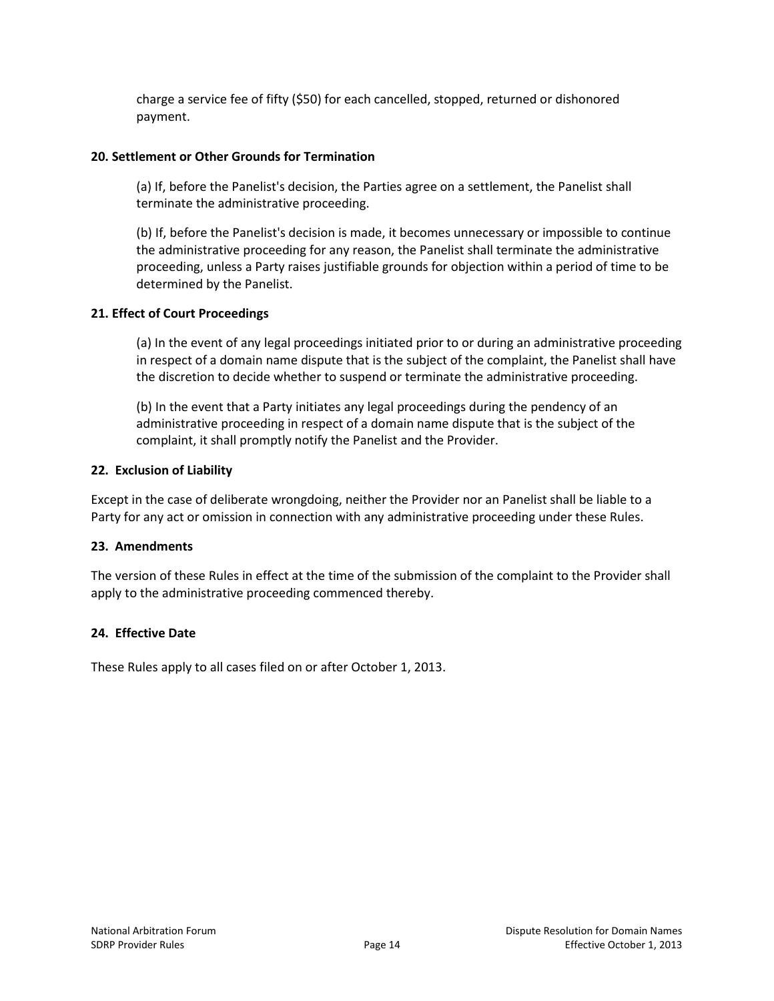charge a service fee of fifty (\$50) for each cancelled, stopped, returned or dishonored payment.

### **20. Settlement or Other Grounds for Termination**

(a) If, before the Panelist's decision, the Parties agree on a settlement, the Panelist shall terminate the administrative proceeding.

(b) If, before the Panelist's decision is made, it becomes unnecessary or impossible to continue the administrative proceeding for any reason, the Panelist shall terminate the administrative proceeding, unless a Party raises justifiable grounds for objection within a period of time to be determined by the Panelist.

### **21. Effect of Court Proceedings**

(a) In the event of any legal proceedings initiated prior to or during an administrative proceeding in respect of a domain name dispute that is the subject of the complaint, the Panelist shall have the discretion to decide whether to suspend or terminate the administrative proceeding.

(b) In the event that a Party initiates any legal proceedings during the pendency of an administrative proceeding in respect of a domain name dispute that is the subject of the complaint, it shall promptly notify the Panelist and the Provider.

### **22. Exclusion of Liability**

Except in the case of deliberate wrongdoing, neither the Provider nor an Panelist shall be liable to a Party for any act or omission in connection with any administrative proceeding under these Rules.

### **23. Amendments**

The version of these Rules in effect at the time of the submission of the complaint to the Provider shall apply to the administrative proceeding commenced thereby.

### **24. Effective Date**

These Rules apply to all cases filed on or after October 1, 2013.